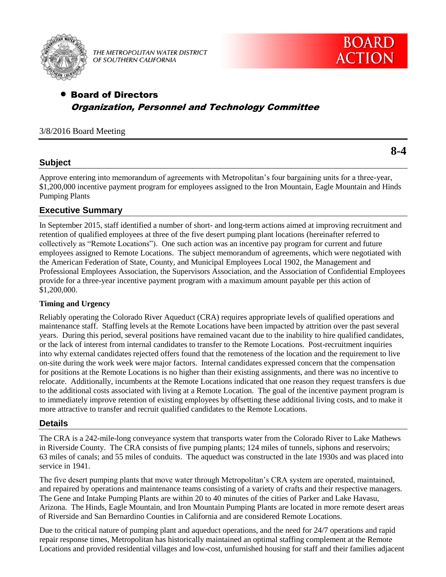

THE METROPOLITAN WATER DISTRICT OF SOUTHERN CALIFORNIA



# Board of Directors Organization, Personnel and Technology Committee

#### 3/8/2016 Board Meeting

## **Subject**

Approve entering into memorandum of agreements with Metropolitan's four bargaining units for a three-year, \$1,200,000 incentive payment program for employees assigned to the Iron Mountain, Eagle Mountain and Hinds Pumping Plants

## **Executive Summary**

In September 2015, staff identified a number of short- and long-term actions aimed at improving recruitment and retention of qualified employees at three of the five desert pumping plant locations (hereinafter referred to collectively as "Remote Locations"). One such action was an incentive pay program for current and future employees assigned to Remote Locations. The subject memorandum of agreements, which were negotiated with the American Federation of State, County, and Municipal Employees Local 1902, the Management and Professional Employees Association, the Supervisors Association, and the Association of Confidential Employees provide for a three-year incentive payment program with a maximum amount payable per this action of \$1,200,000.

#### **Timing and Urgency**

Reliably operating the Colorado River Aqueduct (CRA) requires appropriate levels of qualified operations and maintenance staff. Staffing levels at the Remote Locations have been impacted by attrition over the past several years. During this period, several positions have remained vacant due to the inability to hire qualified candidates, or the lack of interest from internal candidates to transfer to the Remote Locations. Post-recruitment inquiries into why external candidates rejected offers found that the remoteness of the location and the requirement to live on-site during the work week were major factors. Internal candidates expressed concern that the compensation for positions at the Remote Locations is no higher than their existing assignments, and there was no incentive to relocate. Additionally, incumbents at the Remote Locations indicated that one reason they request transfers is due to the additional costs associated with living at a Remote Location. The goal of the incentive payment program is to immediately improve retention of existing employees by offsetting these additional living costs, and to make it more attractive to transfer and recruit qualified candidates to the Remote Locations.

## **Details**

The CRA is a 242-mile-long conveyance system that transports water from the Colorado River to Lake Mathews in Riverside County. The CRA consists of five pumping plants; 124 miles of tunnels, siphons and reservoirs; 63 miles of canals; and 55 miles of conduits. The aqueduct was constructed in the late 1930s and was placed into service in 1941.

The five desert pumping plants that move water through Metropolitan's CRA system are operated, maintained, and repaired by operations and maintenance teams consisting of a variety of crafts and their respective managers. The Gene and Intake Pumping Plants are within 20 to 40 minutes of the cities of Parker and Lake Havasu, Arizona. The Hinds, Eagle Mountain, and Iron Mountain Pumping Plants are located in more remote desert areas of Riverside and San Bernardino Counties in California and are considered Remote Locations.

Due to the critical nature of pumping plant and aqueduct operations, and the need for 24/7 operations and rapid repair response times, Metropolitan has historically maintained an optimal staffing complement at the Remote Locations and provided residential villages and low-cost, unfurnished housing for staff and their families adjacent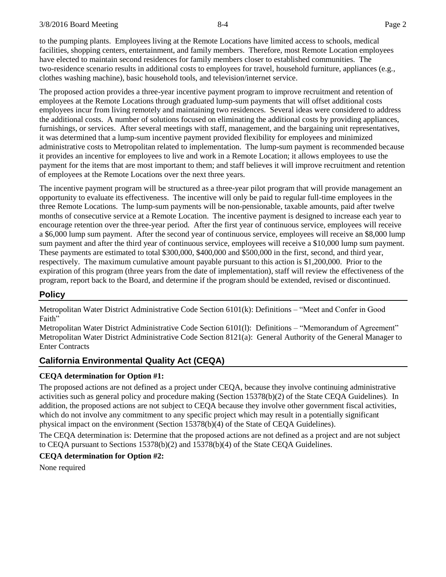to the pumping plants. Employees living at the Remote Locations have limited access to schools, medical facilities, shopping centers, entertainment, and family members. Therefore, most Remote Location employees have elected to maintain second residences for family members closer to established communities. The two-residence scenario results in additional costs to employees for travel, household furniture, appliances (e.g., clothes washing machine), basic household tools, and television/internet service.

The proposed action provides a three-year incentive payment program to improve recruitment and retention of employees at the Remote Locations through graduated lump-sum payments that will offset additional costs employees incur from living remotely and maintaining two residences. Several ideas were considered to address the additional costs. A number of solutions focused on eliminating the additional costs by providing appliances, furnishings, or services. After several meetings with staff, management, and the bargaining unit representatives, it was determined that a lump-sum incentive payment provided flexibility for employees and minimized administrative costs to Metropolitan related to implementation. The lump-sum payment is recommended because it provides an incentive for employees to live and work in a Remote Location; it allows employees to use the payment for the items that are most important to them; and staff believes it will improve recruitment and retention of employees at the Remote Locations over the next three years.

The incentive payment program will be structured as a three-year pilot program that will provide management an opportunity to evaluate its effectiveness. The incentive will only be paid to regular full-time employees in the three Remote Locations. The lump-sum payments will be non-pensionable, taxable amounts, paid after twelve months of consecutive service at a Remote Location. The incentive payment is designed to increase each year to encourage retention over the three-year period. After the first year of continuous service, employees will receive a \$6,000 lump sum payment. After the second year of continuous service, employees will receive an \$8,000 lump sum payment and after the third year of continuous service, employees will receive a \$10,000 lump sum payment. These payments are estimated to total \$300,000, \$400,000 and \$500,000 in the first, second, and third year, respectively. The maximum cumulative amount payable pursuant to this action is \$1,200,000. Prior to the expiration of this program (three years from the date of implementation), staff will review the effectiveness of the program, report back to the Board, and determine if the program should be extended, revised or discontinued.

## **Policy**

Metropolitan Water District Administrative Code Section 6101(k): Definitions – "Meet and Confer in Good Faith"

Metropolitan Water District Administrative Code Section 6101(l): Definitions – "Memorandum of Agreement" Metropolitan Water District Administrative Code Section 8121(a): General Authority of the General Manager to Enter Contracts

## **California Environmental Quality Act (CEQA)**

#### **CEQA determination for Option #1:**

The proposed actions are not defined as a project under CEQA, because they involve continuing administrative activities such as general policy and procedure making (Section 15378(b)(2) of the State CEQA Guidelines). In addition, the proposed actions are not subject to CEQA because they involve other government fiscal activities, which do not involve any commitment to any specific project which may result in a potentially significant physical impact on the environment (Section 15378(b)(4) of the State of CEQA Guidelines).

The CEQA determination is: Determine that the proposed actions are not defined as a project and are not subject to CEQA pursuant to Sections 15378(b)(2) and 15378(b)(4) of the State CEQA Guidelines.

#### **CEQA determination for Option #2:**

None required